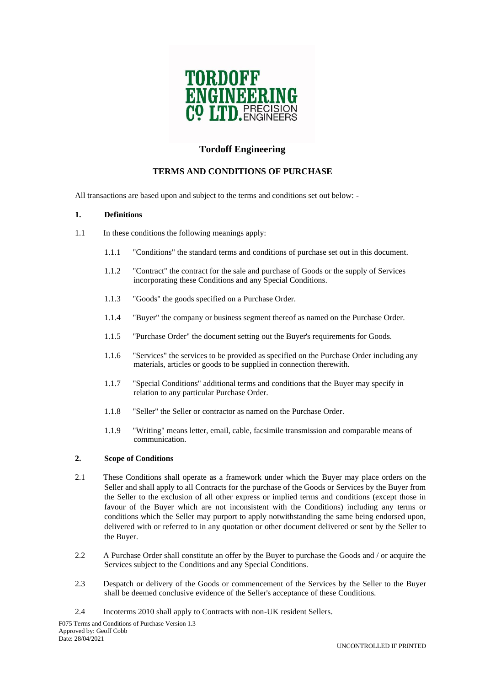

# **Tordoff Engineering**

# **TERMS AND CONDITIONS OF PURCHASE**

All transactions are based upon and subject to the terms and conditions set out below: -

### **1. Definitions**

- 1.1 In these conditions the following meanings apply:
	- 1.1.1 "Conditions" the standard terms and conditions of purchase set out in this document.
	- 1.1.2 "Contract" the contract for the sale and purchase of Goods or the supply of Services incorporating these Conditions and any Special Conditions.
	- 1.1.3 "Goods" the goods specified on a Purchase Order.
	- 1.1.4 "Buyer" the company or business segment thereof as named on the Purchase Order.
	- 1.1.5 "Purchase Order" the document setting out the Buyer's requirements for Goods.
	- 1.1.6 "Services" the services to be provided as specified on the Purchase Order including any materials, articles or goods to be supplied in connection therewith.
	- 1.1.7 "Special Conditions" additional terms and conditions that the Buyer may specify in relation to any particular Purchase Order.
	- 1.1.8 "Seller" the Seller or contractor as named on the Purchase Order.
	- 1.1.9 "Writing" means letter, email, cable, facsimile transmission and comparable means of communication.

# **2. Scope of Conditions**

- 2.1 These Conditions shall operate as a framework under which the Buyer may place orders on the Seller and shall apply to all Contracts for the purchase of the Goods or Services by the Buyer from the Seller to the exclusion of all other express or implied terms and conditions (except those in favour of the Buyer which are not inconsistent with the Conditions) including any terms or conditions which the Seller may purport to apply notwithstanding the same being endorsed upon, delivered with or referred to in any quotation or other document delivered or sent by the Seller to the Buyer.
- 2.2 A Purchase Order shall constitute an offer by the Buyer to purchase the Goods and / or acquire the Services subject to the Conditions and any Special Conditions.
- 2.3 Despatch or delivery of the Goods or commencement of the Services by the Seller to the Buyer shall be deemed conclusive evidence of the Seller's acceptance of these Conditions.
- 2.4 Incoterms 2010 shall apply to Contracts with non-UK resident Sellers.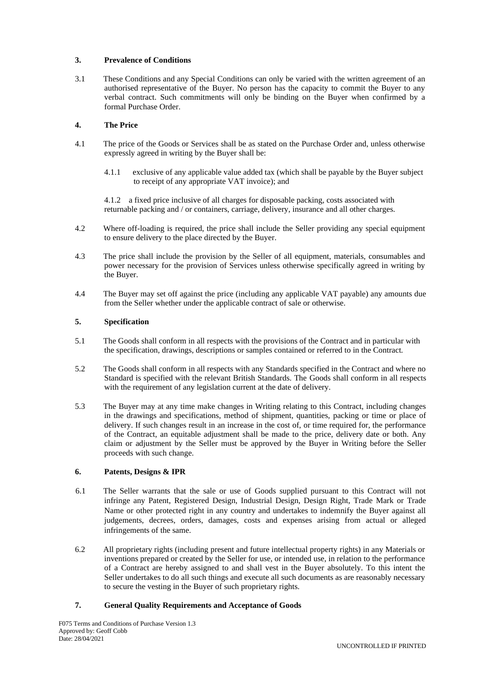# **3. Prevalence of Conditions**

3.1 These Conditions and any Special Conditions can only be varied with the written agreement of an authorised representative of the Buyer. No person has the capacity to commit the Buyer to any verbal contract. Such commitments will only be binding on the Buyer when confirmed by a formal Purchase Order.

# **4. The Price**

- 4.1 The price of the Goods or Services shall be as stated on the Purchase Order and, unless otherwise expressly agreed in writing by the Buyer shall be:
	- 4.1.1 exclusive of any applicable value added tax (which shall be payable by the Buyer subject to receipt of any appropriate VAT invoice); and

4.1.2 a fixed price inclusive of all charges for disposable packing, costs associated with returnable packing and / or containers, carriage, delivery, insurance and all other charges.

- 4.2 Where off-loading is required, the price shall include the Seller providing any special equipment to ensure delivery to the place directed by the Buyer.
- 4.3 The price shall include the provision by the Seller of all equipment, materials, consumables and power necessary for the provision of Services unless otherwise specifically agreed in writing by the Buyer.
- 4.4 The Buyer may set off against the price (including any applicable VAT payable) any amounts due from the Seller whether under the applicable contract of sale or otherwise.

### **5. Specification**

- 5.1 The Goods shall conform in all respects with the provisions of the Contract and in particular with the specification, drawings, descriptions or samples contained or referred to in the Contract.
- 5.2 The Goods shall conform in all respects with any Standards specified in the Contract and where no Standard is specified with the relevant British Standards. The Goods shall conform in all respects with the requirement of any legislation current at the date of delivery.
- 5.3 The Buyer may at any time make changes in Writing relating to this Contract, including changes in the drawings and specifications, method of shipment, quantities, packing or time or place of delivery. If such changes result in an increase in the cost of, or time required for, the performance of the Contract, an equitable adjustment shall be made to the price, delivery date or both. Any claim or adjustment by the Seller must be approved by the Buyer in Writing before the Seller proceeds with such change.

### **6. Patents, Designs & IPR**

- 6.1 The Seller warrants that the sale or use of Goods supplied pursuant to this Contract will not infringe any Patent, Registered Design, Industrial Design, Design Right, Trade Mark or Trade Name or other protected right in any country and undertakes to indemnify the Buyer against all judgements, decrees, orders, damages, costs and expenses arising from actual or alleged infringements of the same.
- 6.2 All proprietary rights (including present and future intellectual property rights) in any Materials or inventions prepared or created by the Seller for use, or intended use, in relation to the performance of a Contract are hereby assigned to and shall vest in the Buyer absolutely. To this intent the Seller undertakes to do all such things and execute all such documents as are reasonably necessary to secure the vesting in the Buyer of such proprietary rights.

### **7. General Quality Requirements and Acceptance of Goods**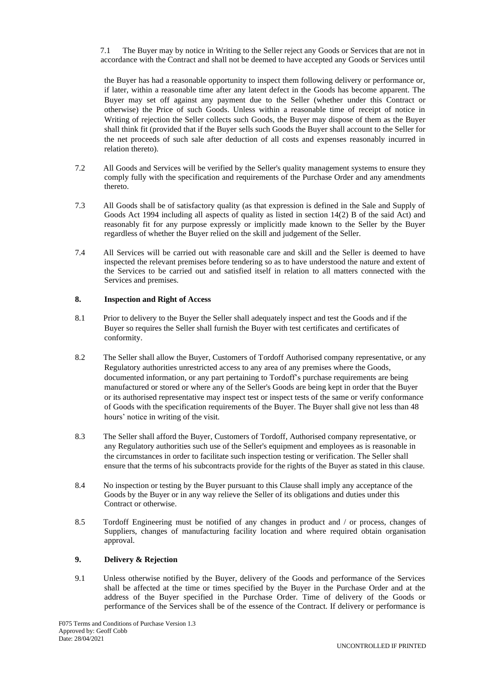7.1 The Buyer may by notice in Writing to the Seller reject any Goods or Services that are not in accordance with the Contract and shall not be deemed to have accepted any Goods or Services until

the Buyer has had a reasonable opportunity to inspect them following delivery or performance or, if later, within a reasonable time after any latent defect in the Goods has become apparent. The Buyer may set off against any payment due to the Seller (whether under this Contract or otherwise) the Price of such Goods. Unless within a reasonable time of receipt of notice in Writing of rejection the Seller collects such Goods, the Buyer may dispose of them as the Buyer shall think fit (provided that if the Buyer sells such Goods the Buyer shall account to the Seller for the net proceeds of such sale after deduction of all costs and expenses reasonably incurred in relation thereto).

- 7.2 All Goods and Services will be verified by the Seller's quality management systems to ensure they comply fully with the specification and requirements of the Purchase Order and any amendments thereto.
- 7.3 All Goods shall be of satisfactory quality (as that expression is defined in the Sale and Supply of Goods Act 1994 including all aspects of quality as listed in section 14(2) B of the said Act) and reasonably fit for any purpose expressly or implicitly made known to the Seller by the Buyer regardless of whether the Buyer relied on the skill and judgement of the Seller.
- 7.4 All Services will be carried out with reasonable care and skill and the Seller is deemed to have inspected the relevant premises before tendering so as to have understood the nature and extent of the Services to be carried out and satisfied itself in relation to all matters connected with the Services and premises.

# **8. Inspection and Right of Access**

- 8.1 Prior to delivery to the Buyer the Seller shall adequately inspect and test the Goods and if the Buyer so requires the Seller shall furnish the Buyer with test certificates and certificates of conformity.
- 8.2 The Seller shall allow the Buyer, Customers of Tordoff Authorised company representative, or any Regulatory authorities unrestricted access to any area of any premises where the Goods, documented information, or any part pertaining to Tordoff's purchase requirements are being manufactured or stored or where any of the Seller's Goods are being kept in order that the Buyer or its authorised representative may inspect test or inspect tests of the same or verify conformance of Goods with the specification requirements of the Buyer. The Buyer shall give not less than 48 hours' notice in writing of the visit.
- 8.3 The Seller shall afford the Buyer, Customers of Tordoff, Authorised company representative, or any Regulatory authorities such use of the Seller's equipment and employees as is reasonable in the circumstances in order to facilitate such inspection testing or verification. The Seller shall ensure that the terms of his subcontracts provide for the rights of the Buyer as stated in this clause.
- 8.4 No inspection or testing by the Buyer pursuant to this Clause shall imply any acceptance of the Goods by the Buyer or in any way relieve the Seller of its obligations and duties under this Contract or otherwise.
- 8.5 Tordoff Engineering must be notified of any changes in product and / or process, changes of Suppliers, changes of manufacturing facility location and where required obtain organisation approval.

# **9. Delivery & Rejection**

9.1 Unless otherwise notified by the Buyer, delivery of the Goods and performance of the Services shall be affected at the time or times specified by the Buyer in the Purchase Order and at the address of the Buyer specified in the Purchase Order. Time of delivery of the Goods or performance of the Services shall be of the essence of the Contract. If delivery or performance is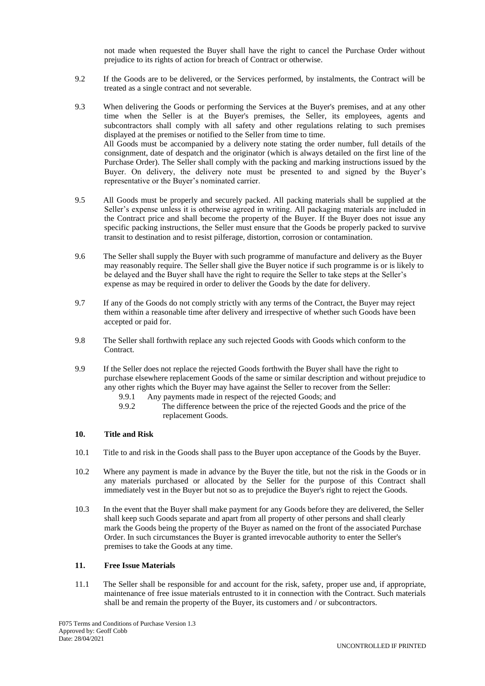not made when requested the Buyer shall have the right to cancel the Purchase Order without prejudice to its rights of action for breach of Contract or otherwise.

- 9.2 If the Goods are to be delivered, or the Services performed, by instalments, the Contract will be treated as a single contract and not severable.
- 9.3 When delivering the Goods or performing the Services at the Buyer's premises, and at any other time when the Seller is at the Buyer's premises, the Seller, its employees, agents and subcontractors shall comply with all safety and other regulations relating to such premises displayed at the premises or notified to the Seller from time to time. All Goods must be accompanied by a delivery note stating the order number, full details of the consignment, date of despatch and the originator (which is always detailed on the first line of the Purchase Order). The Seller shall comply with the packing and marking instructions issued by the Buyer. On delivery, the delivery note must be presented to and signed by the Buyer's representative or the Buyer's nominated carrier.
- 9.5 All Goods must be properly and securely packed. All packing materials shall be supplied at the Seller's expense unless it is otherwise agreed in writing. All packaging materials are included in the Contract price and shall become the property of the Buyer. If the Buyer does not issue any specific packing instructions, the Seller must ensure that the Goods be properly packed to survive transit to destination and to resist pilferage, distortion, corrosion or contamination.
- 9.6 The Seller shall supply the Buyer with such programme of manufacture and delivery as the Buyer may reasonably require. The Seller shall give the Buyer notice if such programme is or is likely to be delayed and the Buyer shall have the right to require the Seller to take steps at the Seller's expense as may be required in order to deliver the Goods by the date for delivery.
- 9.7 If any of the Goods do not comply strictly with any terms of the Contract, the Buyer may reject them within a reasonable time after delivery and irrespective of whether such Goods have been accepted or paid for.
- 9.8 The Seller shall forthwith replace any such rejected Goods with Goods which conform to the Contract.
- 9.9 If the Seller does not replace the rejected Goods forthwith the Buyer shall have the right to purchase elsewhere replacement Goods of the same or similar description and without prejudice to any other rights which the Buyer may have against the Seller to recover from the Seller:
	- 9.9.1 Any payments made in respect of the rejected Goods; and<br>9.9.2 The difference between the price of the rejected Good
	- The difference between the price of the rejected Goods and the price of the replacement Goods.

# **10. Title and Risk**

- 10.1 Title to and risk in the Goods shall pass to the Buyer upon acceptance of the Goods by the Buyer.
- 10.2 Where any payment is made in advance by the Buyer the title, but not the risk in the Goods or in any materials purchased or allocated by the Seller for the purpose of this Contract shall immediately vest in the Buyer but not so as to prejudice the Buyer's right to reject the Goods.
- 10.3 In the event that the Buyer shall make payment for any Goods before they are delivered, the Seller shall keep such Goods separate and apart from all property of other persons and shall clearly mark the Goods being the property of the Buyer as named on the front of the associated Purchase Order. In such circumstances the Buyer is granted irrevocable authority to enter the Seller's premises to take the Goods at any time.

### **11. Free Issue Materials**

11.1 The Seller shall be responsible for and account for the risk, safety, proper use and, if appropriate, maintenance of free issue materials entrusted to it in connection with the Contract. Such materials shall be and remain the property of the Buyer, its customers and / or subcontractors.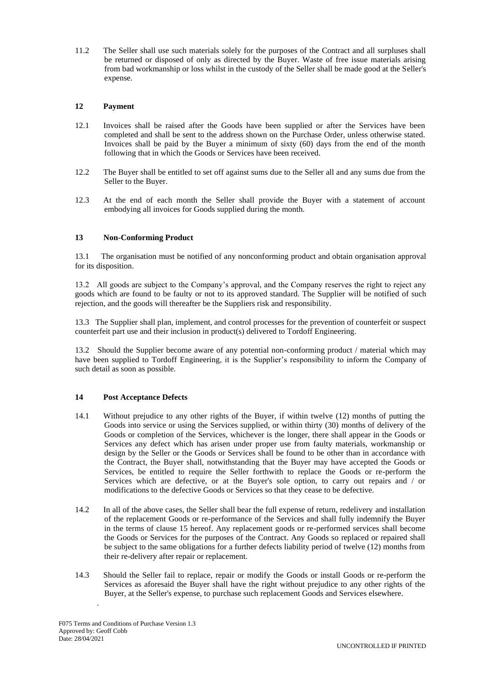11.2 The Seller shall use such materials solely for the purposes of the Contract and all surpluses shall be returned or disposed of only as directed by the Buyer. Waste of free issue materials arising from bad workmanship or loss whilst in the custody of the Seller shall be made good at the Seller's expense.

# **12 Payment**

- 12.1 Invoices shall be raised after the Goods have been supplied or after the Services have been completed and shall be sent to the address shown on the Purchase Order, unless otherwise stated. Invoices shall be paid by the Buyer a minimum of sixty (60) days from the end of the month following that in which the Goods or Services have been received.
- 12.2 The Buyer shall be entitled to set off against sums due to the Seller all and any sums due from the Seller to the Buyer.
- 12.3 At the end of each month the Seller shall provide the Buyer with a statement of account embodying all invoices for Goods supplied during the month.

# **13 Non-Conforming Product**

13.1 The organisation must be notified of any nonconforming product and obtain organisation approval for its disposition.

13.2 All goods are subject to the Company's approval, and the Company reserves the right to reject any goods which are found to be faulty or not to its approved standard. The Supplier will be notified of such rejection, and the goods will thereafter be the Suppliers risk and responsibility.

13.3 The Supplier shall plan, implement, and control processes for the prevention of counterfeit or suspect counterfeit part use and their inclusion in product(s) delivered to Tordoff Engineering.

13.2Should the Supplier become aware of any potential non-conforming product / material which may have been supplied to Tordoff Engineering, it is the Supplier's responsibility to inform the Company of such detail as soon as possible.

### **14 Post Acceptance Defects**

- 14.1 Without prejudice to any other rights of the Buyer, if within twelve (12) months of putting the Goods into service or using the Services supplied, or within thirty (30) months of delivery of the Goods or completion of the Services, whichever is the longer, there shall appear in the Goods or Services any defect which has arisen under proper use from faulty materials, workmanship or design by the Seller or the Goods or Services shall be found to be other than in accordance with the Contract, the Buyer shall, notwithstanding that the Buyer may have accepted the Goods or Services, be entitled to require the Seller forthwith to replace the Goods or re-perform the Services which are defective, or at the Buyer's sole option, to carry out repairs and / or modifications to the defective Goods or Services so that they cease to be defective.
- 14.2 In all of the above cases, the Seller shall bear the full expense of return, redelivery and installation of the replacement Goods or re-performance of the Services and shall fully indemnify the Buyer in the terms of clause 15 hereof. Any replacement goods or re-performed services shall become the Goods or Services for the purposes of the Contract. Any Goods so replaced or repaired shall be subject to the same obligations for a further defects liability period of twelve (12) months from their re-delivery after repair or replacement.
- 14.3 Should the Seller fail to replace, repair or modify the Goods or install Goods or re-perform the Services as aforesaid the Buyer shall have the right without prejudice to any other rights of the Buyer, at the Seller's expense, to purchase such replacement Goods and Services elsewhere.

.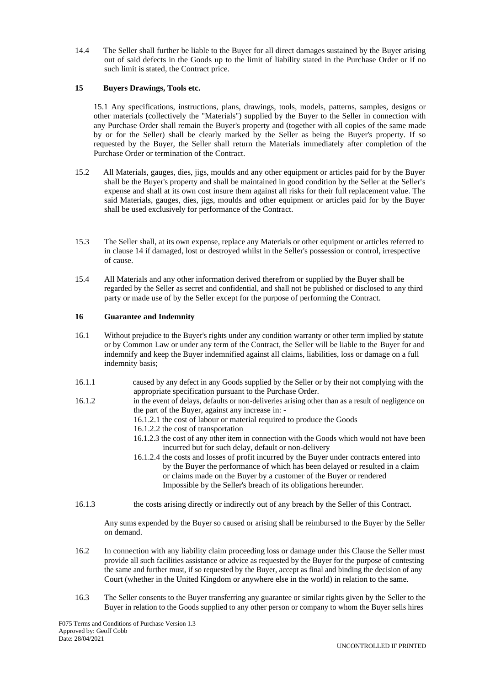14.4 The Seller shall further be liable to the Buyer for all direct damages sustained by the Buyer arising out of said defects in the Goods up to the limit of liability stated in the Purchase Order or if no such limit is stated, the Contract price.

## **15 Buyers Drawings, Tools etc.**

15.1 Any specifications, instructions, plans, drawings, tools, models, patterns, samples, designs or other materials (collectively the "Materials") supplied by the Buyer to the Seller in connection with any Purchase Order shall remain the Buyer's property and (together with all copies of the same made by or for the Seller) shall be clearly marked by the Seller as being the Buyer's property. If so requested by the Buyer, the Seller shall return the Materials immediately after completion of the Purchase Order or termination of the Contract.

- 15.2 All Materials, gauges, dies, jigs, moulds and any other equipment or articles paid for by the Buyer shall be the Buyer's property and shall be maintained in good condition by the Seller at the Seller's expense and shall at its own cost insure them against all risks for their full replacement value. The said Materials, gauges, dies, jigs, moulds and other equipment or articles paid for by the Buyer shall be used exclusively for performance of the Contract.
- 15.3 The Seller shall, at its own expense, replace any Materials or other equipment or articles referred to in clause 14 if damaged, lost or destroyed whilst in the Seller's possession or control, irrespective of cause.
- 15.4 All Materials and any other information derived therefrom or supplied by the Buyer shall be regarded by the Seller as secret and confidential, and shall not be published or disclosed to any third party or made use of by the Seller except for the purpose of performing the Contract.

### **16 Guarantee and Indemnity**

- 16.1 Without prejudice to the Buyer's rights under any condition warranty or other term implied by statute or by Common Law or under any term of the Contract, the Seller will be liable to the Buyer for and indemnify and keep the Buyer indemnified against all claims, liabilities, loss or damage on a full indemnity basis;
- 16.1.1 caused by any defect in any Goods supplied by the Seller or by their not complying with the appropriate specification pursuant to the Purchase Order.
- 16.1.2 in the event of delays, defaults or non-deliveries arising other than as a result of negligence on the part of the Buyer, against any increase in: -
	- 16.1.2.1 the cost of labour or material required to produce the Goods
	- 16.1.2.2 the cost of transportation
	- 16.1.2.3 the cost of any other item in connection with the Goods which would not have been incurred but for such delay, default or non-delivery
	- 16.1.2.4 the costs and losses of profit incurred by the Buyer under contracts entered into by the Buyer the performance of which has been delayed or resulted in a claim or claims made on the Buyer by a customer of the Buyer or rendered Impossible by the Seller's breach of its obligations hereunder.
- 16.1.3 the costs arising directly or indirectly out of any breach by the Seller of this Contract.

Any sums expended by the Buyer so caused or arising shall be reimbursed to the Buyer by the Seller on demand.

- 16.2 In connection with any liability claim proceeding loss or damage under this Clause the Seller must provide all such facilities assistance or advice as requested by the Buyer for the purpose of contesting the same and further must, if so requested by the Buyer, accept as final and binding the decision of any Court (whether in the United Kingdom or anywhere else in the world) in relation to the same.
- 16.3 The Seller consents to the Buyer transferring any guarantee or similar rights given by the Seller to the Buyer in relation to the Goods supplied to any other person or company to whom the Buyer sells hires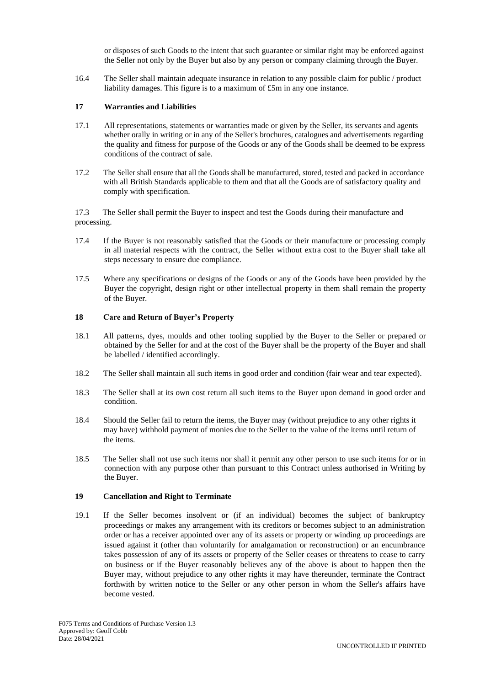or disposes of such Goods to the intent that such guarantee or similar right may be enforced against the Seller not only by the Buyer but also by any person or company claiming through the Buyer.

16.4 The Seller shall maintain adequate insurance in relation to any possible claim for public / product liability damages. This figure is to a maximum of £5m in any one instance.

# **17 Warranties and Liabilities**

- 17.1 All representations, statements or warranties made or given by the Seller, its servants and agents whether orally in writing or in any of the Seller's brochures, catalogues and advertisements regarding the quality and fitness for purpose of the Goods or any of the Goods shall be deemed to be express conditions of the contract of sale.
- 17.2 The Seller shall ensure that all the Goods shall be manufactured, stored, tested and packed in accordance with all British Standards applicable to them and that all the Goods are of satisfactory quality and comply with specification.

17.3 The Seller shall permit the Buyer to inspect and test the Goods during their manufacture and processing.

- 17.4 If the Buyer is not reasonably satisfied that the Goods or their manufacture or processing comply in all material respects with the contract, the Seller without extra cost to the Buyer shall take all steps necessary to ensure due compliance.
- 17.5 Where any specifications or designs of the Goods or any of the Goods have been provided by the Buyer the copyright, design right or other intellectual property in them shall remain the property of the Buyer.

### **18 Care and Return of Buyer's Property**

- 18.1 All patterns, dyes, moulds and other tooling supplied by the Buyer to the Seller or prepared or obtained by the Seller for and at the cost of the Buyer shall be the property of the Buyer and shall be labelled / identified accordingly.
- 18.2 The Seller shall maintain all such items in good order and condition (fair wear and tear expected).
- 18.3 The Seller shall at its own cost return all such items to the Buyer upon demand in good order and condition.
- 18.4 Should the Seller fail to return the items, the Buyer may (without prejudice to any other rights it may have) withhold payment of monies due to the Seller to the value of the items until return of the items.
- 18.5 The Seller shall not use such items nor shall it permit any other person to use such items for or in connection with any purpose other than pursuant to this Contract unless authorised in Writing by the Buyer.

### **19 Cancellation and Right to Terminate**

19.1 If the Seller becomes insolvent or (if an individual) becomes the subject of bankruptcy proceedings or makes any arrangement with its creditors or becomes subject to an administration order or has a receiver appointed over any of its assets or property or winding up proceedings are issued against it (other than voluntarily for amalgamation or reconstruction) or an encumbrance takes possession of any of its assets or property of the Seller ceases or threatens to cease to carry on business or if the Buyer reasonably believes any of the above is about to happen then the Buyer may, without prejudice to any other rights it may have thereunder, terminate the Contract forthwith by written notice to the Seller or any other person in whom the Seller's affairs have become vested.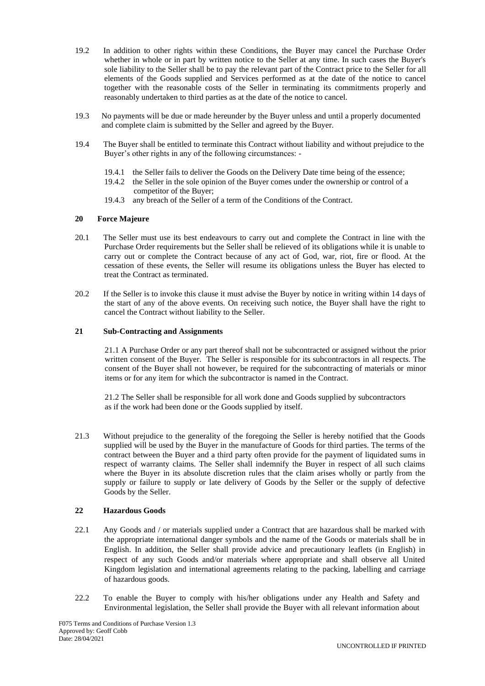- 19.2 In addition to other rights within these Conditions, the Buyer may cancel the Purchase Order whether in whole or in part by written notice to the Seller at any time. In such cases the Buyer's sole liability to the Seller shall be to pay the relevant part of the Contract price to the Seller for all elements of the Goods supplied and Services performed as at the date of the notice to cancel together with the reasonable costs of the Seller in terminating its commitments properly and reasonably undertaken to third parties as at the date of the notice to cancel.
- 19.3 No payments will be due or made hereunder by the Buyer unless and until a properly documented and complete claim is submitted by the Seller and agreed by the Buyer.
- 19.4 The Buyer shall be entitled to terminate this Contract without liability and without prejudice to the Buyer's other rights in any of the following circumstances: -
	- 19.4.1 the Seller fails to deliver the Goods on the Delivery Date time being of the essence;
	- 19.4.2 the Seller in the sole opinion of the Buyer comes under the ownership or control of a competitor of the Buyer;
	- 19.4.3 any breach of the Seller of a term of the Conditions of the Contract.

#### **20 Force Majeure**

- 20.1 The Seller must use its best endeavours to carry out and complete the Contract in line with the Purchase Order requirements but the Seller shall be relieved of its obligations while it is unable to carry out or complete the Contract because of any act of God, war, riot, fire or flood. At the cessation of these events, the Seller will resume its obligations unless the Buyer has elected to treat the Contract as terminated.
- 20.2 If the Seller is to invoke this clause it must advise the Buyer by notice in writing within 14 days of the start of any of the above events. On receiving such notice, the Buyer shall have the right to cancel the Contract without liability to the Seller.

#### **21 Sub-Contracting and Assignments**

21.1 A Purchase Order or any part thereof shall not be subcontracted or assigned without the prior written consent of the Buyer. The Seller is responsible for its subcontractors in all respects. The consent of the Buyer shall not however, be required for the subcontracting of materials or minor items or for any item for which the subcontractor is named in the Contract.

21.2 The Seller shall be responsible for all work done and Goods supplied by subcontractors as if the work had been done or the Goods supplied by itself.

21.3 Without prejudice to the generality of the foregoing the Seller is hereby notified that the Goods supplied will be used by the Buyer in the manufacture of Goods for third parties. The terms of the contract between the Buyer and a third party often provide for the payment of liquidated sums in respect of warranty claims. The Seller shall indemnify the Buyer in respect of all such claims where the Buyer in its absolute discretion rules that the claim arises wholly or partly from the supply or failure to supply or late delivery of Goods by the Seller or the supply of defective Goods by the Seller.

### **22 Hazardous Goods**

- 22.1 Any Goods and / or materials supplied under a Contract that are hazardous shall be marked with the appropriate international danger symbols and the name of the Goods or materials shall be in English. In addition, the Seller shall provide advice and precautionary leaflets (in English) in respect of any such Goods and/or materials where appropriate and shall observe all United Kingdom legislation and international agreements relating to the packing, labelling and carriage of hazardous goods.
- 22.2 To enable the Buyer to comply with his/her obligations under any Health and Safety and Environmental legislation, the Seller shall provide the Buyer with all relevant information about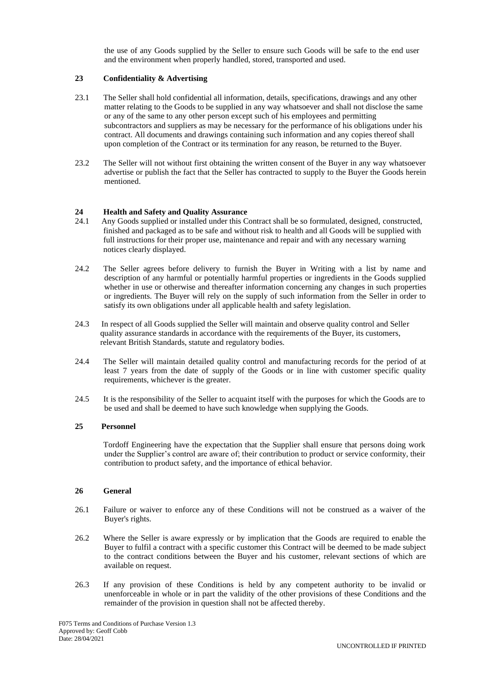the use of any Goods supplied by the Seller to ensure such Goods will be safe to the end user and the environment when properly handled, stored, transported and used.

# **23 Confidentiality & Advertising**

- 23.1 The Seller shall hold confidential all information, details, specifications, drawings and any other matter relating to the Goods to be supplied in any way whatsoever and shall not disclose the same or any of the same to any other person except such of his employees and permitting subcontractors and suppliers as may be necessary for the performance of his obligations under his contract. All documents and drawings containing such information and any copies thereof shall upon completion of the Contract or its termination for any reason, be returned to the Buyer.
- 23.2 The Seller will not without first obtaining the written consent of the Buyer in any way whatsoever advertise or publish the fact that the Seller has contracted to supply to the Buyer the Goods herein mentioned.

# **24 Health and Safety and Quality Assurance**

- 24.1 Any Goods supplied or installed under this Contract shall be so formulated, designed, constructed, finished and packaged as to be safe and without risk to health and all Goods will be supplied with full instructions for their proper use, maintenance and repair and with any necessary warning notices clearly displayed.
- 24.2 The Seller agrees before delivery to furnish the Buyer in Writing with a list by name and description of any harmful or potentially harmful properties or ingredients in the Goods supplied whether in use or otherwise and thereafter information concerning any changes in such properties or ingredients. The Buyer will rely on the supply of such information from the Seller in order to satisfy its own obligations under all applicable health and safety legislation.
- 24.3 In respect of all Goods supplied the Seller will maintain and observe quality control and Seller quality assurance standards in accordance with the requirements of the Buyer, its customers, relevant British Standards, statute and regulatory bodies.
- 24.4 The Seller will maintain detailed quality control and manufacturing records for the period of at least 7 years from the date of supply of the Goods or in line with customer specific quality requirements, whichever is the greater.
- 24.5 It is the responsibility of the Seller to acquaint itself with the purposes for which the Goods are to be used and shall be deemed to have such knowledge when supplying the Goods.

### **25 Personnel**

Tordoff Engineering have the expectation that the Supplier shall ensure that persons doing work under the Supplier's control are aware of; their contribution to product or service conformity, their contribution to product safety, and the importance of ethical behavior.

### **26 General**

- 26.1 Failure or waiver to enforce any of these Conditions will not be construed as a waiver of the Buyer's rights.
- 26.2 Where the Seller is aware expressly or by implication that the Goods are required to enable the Buyer to fulfil a contract with a specific customer this Contract will be deemed to be made subject to the contract conditions between the Buyer and his customer, relevant sections of which are available on request.
- 26.3 If any provision of these Conditions is held by any competent authority to be invalid or unenforceable in whole or in part the validity of the other provisions of these Conditions and the remainder of the provision in question shall not be affected thereby.